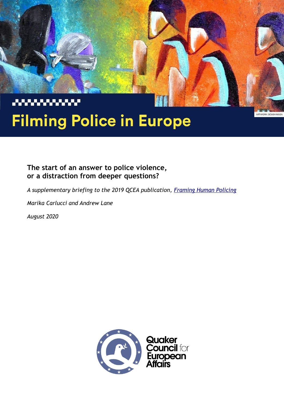

# **Filming Police in Europe**

ARTWORK: BOUSH MUSA

# **The start of an answer to police violence, or a distraction from deeper questions?**

*A supplementary briefing to the 2019 QCEA publication, [Framing Human Policing](http://www.qcea.org/work/human-rights/framing-human-policing/)*

*Marika Carlucci and Andrew Lane*

*August 2020*

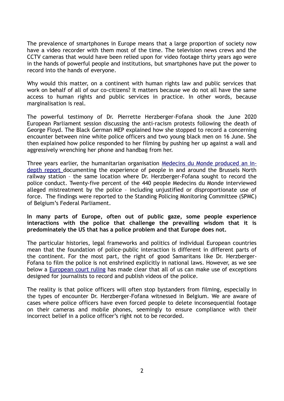The prevalence of smartphones in Europe means that a large proportion of society now have a video recorder with them most of the time. The television news crews and the CCTV cameras that would have been relied upon for video footage thirty years ago were in the hands of powerful people and institutions, but smartphones have put the power to record into the hands of everyone.

Why would this matter, on a continent with human rights law and public services that work on behalf of all of our co-citizens? It matters because we do not all have the same access to human rights and public services in practice. In other words, because marginalisation is real.

The powerful testimony of Dr. Pierrette Herzberger-Fofana shook the June 2020 European Parliament session discussing the anti-racism protests following the death of George Floyd. The Black German MEP explained how she stopped to record a concerning encounter between nine white police officers and two young black men on 16 June. She then explained how police responded to her filming by pushing her up against a wall and aggressively wrenching her phone and handbag from her.

Three years earlier, the humanitarian organisation [Medecins du Monde produced an in](https://medecinsdumonde.be/system/files/publications/downloads/MdM%20rapport%20Geweldmigratie%20FR%20HD.pdf)[depth report d](https://medecinsdumonde.be/system/files/publications/downloads/MdM%20rapport%20Geweldmigratie%20FR%20HD.pdf)ocumenting the experience of people in and around the Brussels North railway station – the same location where Dr. Herzberger-Fofana sought to record the police conduct. Twenty-five percent of the 440 people Medecins du Monde interviewed alleged mistreatment by the police – including unjustified or disproportionate use of force. The findings were reported to the Standing Policing Monitoring Committee (SPMC) of Belgium's Federal Parliament.

#### **In many parts of Europe, often out of public gaze, some people experience interactions with the police that challenge the prevailing wisdom that it is predominately the US that has a police problem and that Europe does not.**

The particular histories, legal frameworks and politics of individual European countries mean that the foundation of police-public interaction is different in different parts of the continent. For the most part, the right of good Samaritans like Dr. Herzberger-Fofana to film the police is not enshrined explicitly in national laws. However, as we see below a [European court ruling](http://curia.europa.eu/juris/document/document.jsf?docid=210766&pageIndex=0&doclang=EN) has made clear that all of us can make use of exceptions designed for journalists to record and publish videos of the police.

The reality is that police officers will often stop bystanders from filming, especially in the types of encounter Dr. Herzberger-Fofana witnessed in Belgium. We are aware of cases where police officers have even forced people to delete inconsequential footage on their cameras and mobile phones, seemingly to ensure compliance with their incorrect belief in a police officer's right not to be recorded.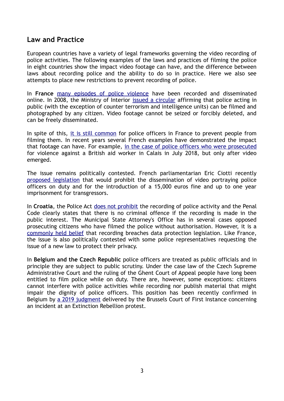#### **Law and Practice**

European countries have a variety of legal frameworks governing the video recording of police activities. The following examples of the laws and practices of filming the police in eight countries show the impact video footage can have, and the difference between laws about recording police and the ability to do so in practice. Here we also see attempts to place new restrictions to prevent recording of police.

In **France** [many episodes of police violence](https://revolutionpermanente.fr/VIDEO-A-Paris-la-police-utilise-la-meme-technique-que-celle-qui-a-tue-George-Floyd?fbclid=IwAR3ofPA1bRF_MEg9qqKkzvMcDs3e4JaU0xLYhBXOxqsoWEggEqQiWG2Cizs) have been recorded and disseminated online. In 2008, the Ministry of Interior [issued a circular](https://www.montpellier-journal.fr/fichiers/circulairephotospolice.pdf) affirming that police acting in public (with the exception of counter terrorism and intelligence units) can be filmed and photographed by any citizen. Video footage cannot be seized or forcibly deleted, and can be freely disseminated.

In spite of this, [it is still common](https://www.mediapart.fr/journal/france/160220/fais-voir-ton-telephone-ou-je-t-allume-les-abus-policiers-en-neuf-videos) for police officers in France to prevent people from filming them. In recent years several French examples have demonstrated the impact that footage can have. For example, [in the case of police officers who were prosecuted](https://www.theguardian.com/world/2020/jun/10/french-police-charged-with-forging-evidence-against-uk-aid-worker?fbclid=IwAR0t3PhXtwhK2_LWHeBl6AC8yVSppyyYxqw-ce8cPXR3zg6nPMvASmyg8Hc) for violence against a British aid worker in Calais in July 2018, but only after video emerged.

The issue remains politically contested. French parliamentarian Eric Ciotti recently [proposed legislation](http://www.assemblee-nationale.fr/dyn/15/textes/l15b2992_proposition-loihttps://www.nouvelobs.com/politique/20200529.OBS29490/la-proposition-de-loi-d-eric-ciotti-pour-interdire-la-diffusion-d-images-de-policiers-suscite-un-tolle.html) that would prohibit the dissemination of video portraying police officers on duty and for the introduction of a 15,000 euros fine and up to one year imprisonment for transgressors.

In **Croatia**, the Police Act [does not prohibit](http://www.legislationline.org/documents/action/popup/id/5885) the recording of police activity and the Penal Code clearly states that there is no criminal offence if the recording is made in the public interest. The Municipal State Attorney's Office has in several cases opposed prosecuting citizens who have filmed the police without authorisation. However, it is a [commonly held belief](https://www.index.hr/vijesti/clanak/policija-tvrdi-da-ih-se-ne-smije-snimati-imamo-vaznu-odluku-koja-kaze-suprotno/2111398.aspx) that recording breaches data protection legislation. Like France, the issue is also politically contested with some police representatives requesting the issue of a new law to protect their privacy.

In **Belgium and the Czech Republic** police officers are treated as public officials and in principle they are subject to public scrutiny. Under the case law of the Czech Supreme Administrative Court and the ruling of the Ghent Court of Appeal people have long been entitled to film police while on duty. There are, however, some exceptions: citizens cannot interfere with police activities while recording nor publish material that might impair the dignity of police officers. This position has been recently confirmed in Belgium by [a 2019 judgment](https://www.rtbf.be/info/inside/detail_extinction-rebellion-pouvait-on-filmer-les-arrestations-par-la-police?id=10355443) delivered by the Brussels Court of First Instance concerning an incident at an Extinction Rebellion protest.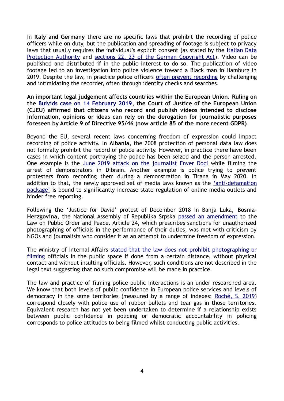In **Italy and Germany** there are no specific laws that prohibit the recording of police officers while on duty, but the publication and spreading of footage is subject to privacy laws that usually requires the individual's explicit consent (as stated by the [Italian Data](https://www.garanteprivacy.it/web/guest/home/docweb/-/docweb-display/docweb/1900376#1) [Protection Authority](https://www.garanteprivacy.it/web/guest/home/docweb/-/docweb-display/docweb/1900376#1) and [sections 22, 23 of the German Copyright Act\)](https://kujus-strafverteidigung.de/blog/filmen-von-polizisten-strafbar/). Video can be published and distributed if in the public interest to do so. The publication of video footage led to an investigation into police violence toward a Black man in Hamburg in 2019. Despite the law, in practice police officers [often prevent recording](https://www.facebook.com/watch/?v=206156347484326) by challenging and intimidating the recorder, often through identity checks and searches.

**An important legal judgement affects countries within the European Union. Ruling on the [Buivids case on 14 February 2019](http://curia.europa.eu/juris/document/document.jsf?docid=210766&pageIndex=0&doclang=EN), the Court of Justice of the European Union (CJEU) affirmed that citizens who record and publish videos intended to disclose information, opinions or ideas can rely on the derogation for journalistic purposes foreseen by Article 9 of Directive 95/46 (now article 85 of the more recent GDPR)**.

Beyond the EU, several recent laws concerning freedom of expression could impact recording of police activity. In **Albania**, the 2008 protection of personal data law does not formally prohibit the record of police activity. However, in practice there have been cases in which content portraying the police has been seized and the person arrested. One example is the [June 2019 attack on the journalist Enver Doçi](https://www.faxweb.al/pamje-lufte-spraj-e-terheqje-zvarre-bulevardit-plas-ne-qender-te-tiranes-policia-i-trembet-masivizimit-te-protestes-nga-te-rinjte-video/) while filming the arrest of demonstrators in Dibrain. Another example is police trying to prevent protesters from recording them during a demonstration in Tirana in May 2020. In addition to that, the newly approved set of media laws known as the *['anti-defamation](https://balkaninsight.com/2019/12/30/albanias-eu-commitment-questioned-over-media-censorship-laws-2/)* [package'](https://balkaninsight.com/2019/12/30/albanias-eu-commitment-questioned-over-media-censorship-laws-2/) is bound to significantly increase state regulation of online media outlets and hinder free reporting.

Following the 'Justice for David' protest of December 2018 in Banja Luka, **Bosnia-Herzgovina**, the National Assembly of Republika Srpska passed an amendment to the Law on Public Order and Peace. Article 24, which prescribes sanctions for unauthorized photographing of officials in the performance of their duties, was met with criticism by NGOs and journalists who consider it as an attempt to undermine freedom of expression.

The Ministry of Internal Affairs [stated that the law does not prohibit photographing or](https://www.slobodnaevropa.org/a/takon-mediji-kontrola-rs-nsrs/29870809.html) [filming](https://www.slobodnaevropa.org/a/takon-mediji-kontrola-rs-nsrs/29870809.html) officials in the public space if done from a certain distance, without physical contact and without insulting officials. However, such conditions are not described in the legal text suggesting that no such compromise will be made in practice.

The law and practice of filming police-public interactions is an under researched area. We know that both levels of public confidence in European police services and levels of democracy in the same territories (measured by a range of indexes; Roché, S. 2019) correspond closely with police use of rubber bullets and tear gas in those territories. Equivalent research has not yet been undertaken to determine if a relationship exists between public confidence in policing or democratic accountability in policing corresponds to police attitudes to being filmed whilst conducting public activities.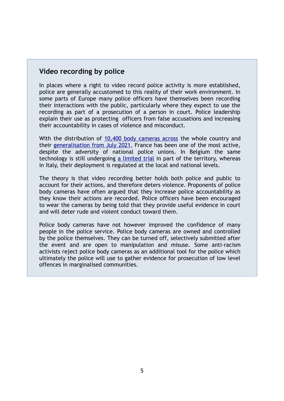# **Video recording by police**

In places where a right to video record police activity is more established, police are generally accustomed to this reality of their work environment. In some parts of Europe many police officers have themselves been recording their interactions with the public, particularly where they expect to use the recording as part of a prosecution of a person in court. Police leadership explain their use as protecting officers from false accusations and increasing their accountability in cases of violence and misconduct.

With the distribution of [10,400 body cameras across](https://www.nouvelobs.com/societe/20200122.OBS23816/les-cameras-pietons-pour-les-policiers-sont-elles-inutilisables.html) the whole country and their generalisation from July 2021, France has been one of the most active, despite the adversity of national police unions. In Belgium the same technology is still undergoing [a limited trial](https://www.rtbf.be/info/regions/detail_la-police-de-la-zone-de-bruxelles-ixelles-mettra-a-l-essai-les-bodycams-en-intervention?id=10406771) in part of the territory, whereas in Italy, their deployment is regulated at the local and national levels.

The theory is that video recording better holds both police and public to account for their actions, and therefore deters violence. Proponents of police body cameras have often argued that they increase police accountability as they know their actions are recorded. Police officers have been encouraged to wear the cameras by being told that they provide useful evidence in court and will deter rude and violent conduct toward them.

Police body cameras have not however improved the confidence of many people in the police service. Police body cameras are owned and controlled by the police themselves. They can be turned off, selectively submitted after the event and are open to manipulation and misuse. Some anti-racism activists reject police body cameras as an additional tool for the police which ultimately the police will use to gather evidence for prosecution of low level offences in marginalised communities.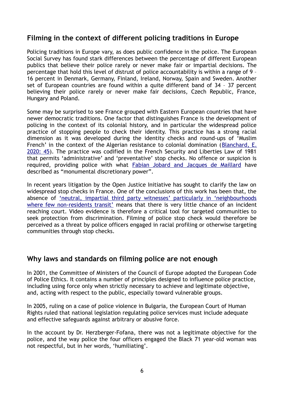## **Filming in the context of different policing traditions in Europe**

Policing traditions in Europe vary, as does public confidence in the police. The European Social Survey has found stark differences between the percentage of different European publics that believe their police rarely or never make fair or impartial decisions. The percentage that hold this level of distrust of police accountability is within a range of 9 – 16 percent in Denmark, Germany, Finland, Ireland, Norway, Spain and Sweden. Another set of European countries are found within a quite different band of 34 – 37 percent believing their police rarely or never make fair decisions, Czech Republic, France, Hungary and Poland.

Some may be surprised to see France grouped with Eastern European countries that have newer democratic traditions. One factor that distinguishes France is the development of policing in the context of its colonial history, and in particular the widespread police practice of stopping people to check their identity. This practice has a strong racial dimension as it was developed during the identity checks and round-ups of 'Muslim French' in the context of the Algerian resistance to colonial domination ([Blanchard, E.](https://www.routledge.com/Policing-in-France/Maillard-Skogan/p/book/9780367135249) [2020: 45](https://www.routledge.com/Policing-in-France/Maillard-Skogan/p/book/9780367135249)). The practice was codified in the French Security and Liberties Law of 1981 that permits 'administrative' and 'preventative' stop checks. No offence or suspicion is required, providing police with what [Fabian Jobard and Jacques de Maillard](https://www.routledge.com/Policing-in-France/Maillard-Skogan/p/book/9780367135249) have described as "monumental discretionary power".

In recent years litigation by the Open Justice Initiative has sought to clarify the law on widespread stop checks in France. One of the conclusions of this work has been that, the absence of ['neutral, impartial third party witnesses' particularly in 'neighbourhoods](https://www.routledge.com/Policing-in-France/Maillard-Skogan/p/book/9780367135249) [where few non-residents transit'](https://www.routledge.com/Policing-in-France/Maillard-Skogan/p/book/9780367135249) means that there is very little chance of an incident reaching court. Video evidence is therefore a critical tool for targeted communities to seek protection from discrimination. Filming of police stop check would therefore be perceived as a threat by police officers engaged in racial profiling or otherwise targeting communities through stop checks.

#### **Why laws and standards on filming police are not enough**

In 2001, the Committee of Ministers of the Council of Europe adopted the European Code of Police Ethics. It contains a number of principles designed to influence police practice, including using force only when strictly necessary to achieve and legitimate objective, and, acting with respect to the public, especially toward vulnerable groups.

In 2005, ruling on a case of police violence in Bulgaria, the European Court of Human Rights ruled that national legislation regulating police services must include adequate and effective safeguards against arbitrary or abusive force.

In the account by Dr. Herzberger-Fofana, there was not a legitimate objective for the police, and the way police the four officers engaged the Black 71 year-old woman was not respectful, but in her words, 'humiliating'.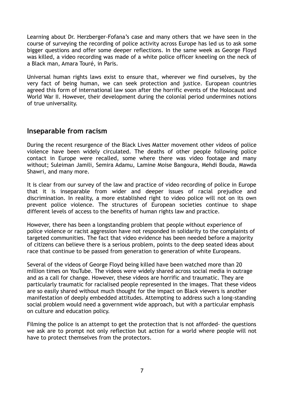Learning about Dr. Herzberger-Fofana's case and many others that we have seen in the course of surveying the recording of police activity across Europe has led us to ask some bigger questions and offer some deeper reflections. In the same week as George Floyd was killed, a video recording was made of a white police officer kneeling on the neck of a Black man, Amara Touré, in Paris.

Universal human rights laws exist to ensure that, wherever we find ourselves, by the very fact of being human, we can seek protection and justice. European countries agreed this form of international law soon after the horrific events of the Holocaust and World War II. However, their development during the colonial period undermines notions of true universality.

# **Inseparable from racism**

During the recent resurgence of the Black Lives Matter movement other videos of police violence have been widely circulated. The deaths of other people following police contact in Europe were recalled, some where there was video footage and many without; Suleiman Jamili, Semira Adamu, Lamine Moise Bangoura, Mehdi Bouda, Mawda Shawri, and many more.

It is clear from our survey of the law and practice of video recording of police in Europe that it is inseparable from wider and deeper issues of racial prejudice and discrimination. In reality, a more established right to video police will not on its own prevent police violence. The structures of European societies continue to shape different levels of access to the benefits of human rights law and practice.

However, there has been a longstanding problem that people without experience of police violence or racist aggression have not responded in solidarity to the complaints of targeted communities. The fact that video evidence has been needed before a majority of citizens can believe there is a serious problem, points to the deep seated ideas about race that continue to be passed from generation to generation of white Europeans.

Several of the videos of George Floyd being killed have been watched more than 20 million times on YouTube. The videos were widely shared across social media in outrage and as a call for change. However, these videos are horrific and traumatic. They are particularly traumatic for racialised people represented in the images. That these videos are so easily shared without much thought for the impact on Black viewers is another manifestation of deeply embedded attitudes. Attempting to address such a long-standing social problem would need a government wide approach, but with a particular emphasis on culture and education policy.

Filming the police is an attempt to get the protection that is not afforded- the questions we ask are to prompt not only reflection but action for a world where people will not have to protect themselves from the protectors.